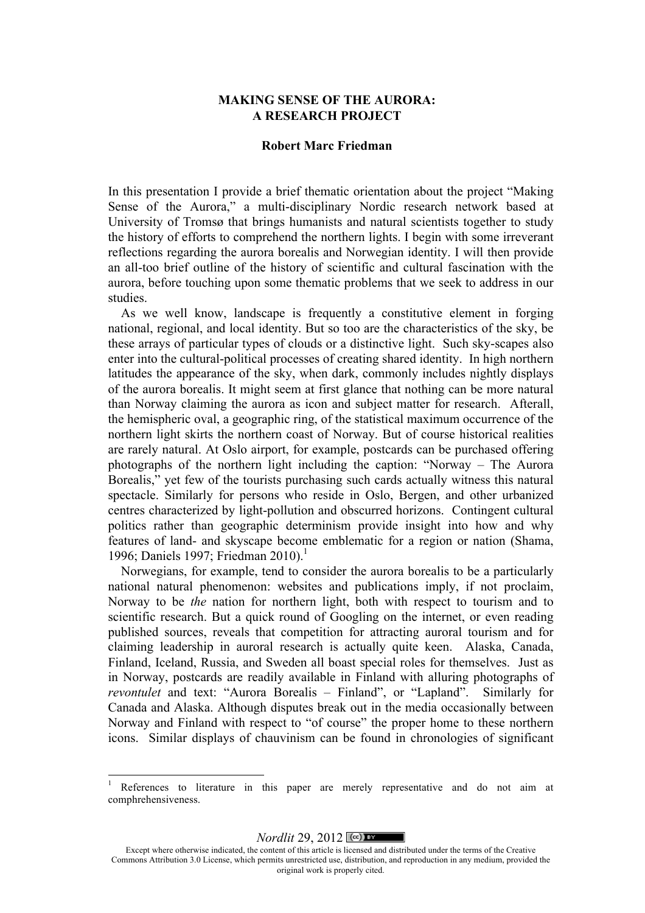## **MAKING SENSE OF THE AURORA: A RESEARCH PROJECT**

#### **Robert Marc Friedman**

In this presentation I provide a brief thematic orientation about the project "Making Sense of the Aurora," a multi-disciplinary Nordic research network based at University of Tromsø that brings humanists and natural scientists together to study the history of efforts to comprehend the northern lights. I begin with some irreverant reflections regarding the aurora borealis and Norwegian identity. I will then provide an all-too brief outline of the history of scientific and cultural fascination with the aurora, before touching upon some thematic problems that we seek to address in our studies.

As we well know, landscape is frequently a constitutive element in forging national, regional, and local identity. But so too are the characteristics of the sky, be these arrays of particular types of clouds or a distinctive light. Such sky-scapes also enter into the cultural-political processes of creating shared identity. In high northern latitudes the appearance of the sky, when dark, commonly includes nightly displays of the aurora borealis. It might seem at first glance that nothing can be more natural than Norway claiming the aurora as icon and subject matter for research. Afterall, the hemispheric oval, a geographic ring, of the statistical maximum occurrence of the northern light skirts the northern coast of Norway. But of course historical realities are rarely natural. At Oslo airport, for example, postcards can be purchased offering photographs of the northern light including the caption: "Norway – The Aurora Borealis," yet few of the tourists purchasing such cards actually witness this natural spectacle. Similarly for persons who reside in Oslo, Bergen, and other urbanized centres characterized by light-pollution and obscurred horizons. Contingent cultural politics rather than geographic determinism provide insight into how and why features of land- and skyscape become emblematic for a region or nation (Shama, 1996; Daniels 1997; Friedman 2010). 1

Norwegians, for example, tend to consider the aurora borealis to be a particularly national natural phenomenon: websites and publications imply, if not proclaim, Norway to be *the* nation for northern light, both with respect to tourism and to scientific research. But a quick round of Googling on the internet, or even reading published sources, reveals that competition for attracting auroral tourism and for claiming leadership in auroral research is actually quite keen. Alaska, Canada, Finland, Iceland, Russia, and Sweden all boast special roles for themselves. Just as in Norway, postcards are readily available in Finland with alluring photographs of *revontulet* and text: "Aurora Borealis – Finland", or "Lapland". Similarly for Canada and Alaska. Although disputes break out in the media occasionally between Norway and Finland with respect to "of course" the proper home to these northern icons. Similar displays of chauvinism can be found in chronologies of significant

!!!!!!!!!!!!!!!!!!!!!!!!!!!!!!!!!!!!!!!!!!!!!!!!!!!!!!!!!!!!

*Nordlit* 29, 2012 ( $\circ$ ) **EY** 

References to literature in this paper are merely representative and do not aim at comphrehensiveness.

Except where otherwise indicated, the content of this article is licensed and distributed under the terms of the Creative Commons Attribution 3.0 License, which permits unrestricted use, distribution, and reproduction in any medium, provided the original work is properly cited.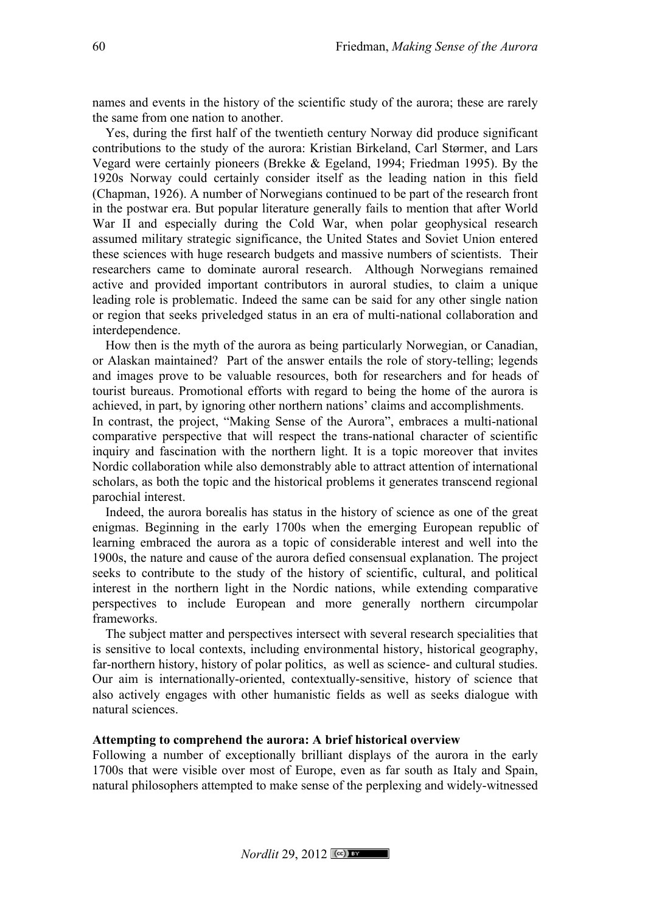names and events in the history of the scientific study of the aurora; these are rarely the same from one nation to another.

Yes, during the first half of the twentieth century Norway did produce significant contributions to the study of the aurora: Kristian Birkeland, Carl Størmer, and Lars Vegard were certainly pioneers (Brekke & Egeland, 1994; Friedman 1995). By the 1920s Norway could certainly consider itself as the leading nation in this field (Chapman, 1926). A number of Norwegians continued to be part of the research front in the postwar era. But popular literature generally fails to mention that after World War II and especially during the Cold War, when polar geophysical research assumed military strategic significance, the United States and Soviet Union entered these sciences with huge research budgets and massive numbers of scientists. Their researchers came to dominate auroral research. Although Norwegians remained active and provided important contributors in auroral studies, to claim a unique leading role is problematic. Indeed the same can be said for any other single nation or region that seeks priveledged status in an era of multi-national collaboration and interdependence.

How then is the myth of the aurora as being particularly Norwegian, or Canadian, or Alaskan maintained? Part of the answer entails the role of story-telling; legends and images prove to be valuable resources, both for researchers and for heads of tourist bureaus. Promotional efforts with regard to being the home of the aurora is achieved, in part, by ignoring other northern nations' claims and accomplishments.

In contrast, the project, "Making Sense of the Aurora", embraces a multi-national comparative perspective that will respect the trans-national character of scientific inquiry and fascination with the northern light. It is a topic moreover that invites Nordic collaboration while also demonstrably able to attract attention of international scholars, as both the topic and the historical problems it generates transcend regional parochial interest.

Indeed, the aurora borealis has status in the history of science as one of the great enigmas. Beginning in the early 1700s when the emerging European republic of learning embraced the aurora as a topic of considerable interest and well into the 1900s, the nature and cause of the aurora defied consensual explanation. The project seeks to contribute to the study of the history of scientific, cultural, and political interest in the northern light in the Nordic nations, while extending comparative perspectives to include European and more generally northern circumpolar frameworks.

The subject matter and perspectives intersect with several research specialities that is sensitive to local contexts, including environmental history, historical geography, far-northern history, history of polar politics, as well as science- and cultural studies. Our aim is internationally-oriented, contextually-sensitive, history of science that also actively engages with other humanistic fields as well as seeks dialogue with natural sciences.

#### **Attempting to comprehend the aurora: A brief historical overview**

Following a number of exceptionally brilliant displays of the aurora in the early 1700s that were visible over most of Europe, even as far south as Italy and Spain, natural philosophers attempted to make sense of the perplexing and widely-witnessed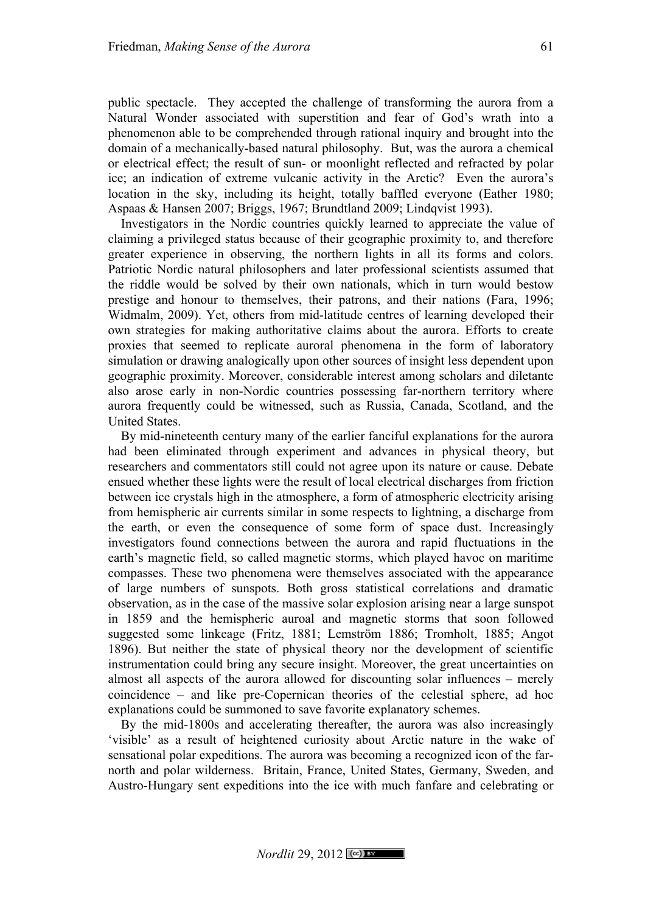public spectacle. They accepted the challenge of transforming the aurora from a Natural Wonder associated with superstition and fear of God's wrath into a phenomenon able to be comprehended through rational inquiry and brought into the domain of a mechanically-based natural philosophy. But, was the aurora a chemical or electrical effect; the result of sun- or moonlight reflected and refracted by polar ice; an indication of extreme vulcanic activity in the Arctic? Even the aurora's location in the sky, including its height, totally baffled everyone (Eather 1980; Aspaas & Hansen 2007; Briggs, 1967; Brundtland 2009; Lindqvist 1993).

Investigators in the Nordic countries quickly learned to appreciate the value of claiming a privileged status because of their geographic proximity to, and therefore greater experience in observing, the northern lights in all its forms and colors. Patriotic Nordic natural philosophers and later professional scientists assumed that the riddle would be solved by their own nationals, which in turn would bestow prestige and honour to themselves, their patrons, and their nations (Fara, 1996; Widmalm, 2009). Yet, others from mid-latitude centres of learning developed their own strategies for making authoritative claims about the aurora. Efforts to create proxies that seemed to replicate auroral phenomena in the form of laboratory simulation or drawing analogically upon other sources of insight less dependent upon geographic proximity. Moreover, considerable interest among scholars and diletante also arose early in non-Nordic countries possessing far-northern territory where aurora frequently could be witnessed, such as Russia, Canada, Scotland, and the United States.

By mid-nineteenth century many of the earlier fanciful explanations for the aurora had been eliminated through experiment and advances in physical theory, but researchers and commentators still could not agree upon its nature or cause. Debate ensued whether these lights were the result of local electrical discharges from friction between ice crystals high in the atmosphere, a form of atmospheric electricity arising from hemispheric air currents similar in some respects to lightning, a discharge from the earth, or even the consequence of some form of space dust. Increasingly investigators found connections between the aurora and rapid fluctuations in the earth's magnetic field, so called magnetic storms, which played havoc on maritime compasses. These two phenomena were themselves associated with the appearance of large numbers of sunspots. Both gross statistical correlations and dramatic observation, as in the case of the massive solar explosion arising near a large sunspot in 1859 and the hemispheric auroal and magnetic storms that soon followed suggested some linkeage (Fritz, 1881; Lemström 1886; Tromholt, 1885; Angot 1896). But neither the state of physical theory nor the development of scientific instrumentation could bring any secure insight. Moreover, the great uncertainties on almost all aspects of the aurora allowed for discounting solar influences – merely coincidence – and like pre-Copernican theories of the celestial sphere, ad hoc explanations could be summoned to save favorite explanatory schemes.

By the mid-1800s and accelerating thereafter, the aurora was also increasingly 'visible' as a result of heightened curiosity about Arctic nature in the wake of sensational polar expeditions. The aurora was becoming a recognized icon of the farnorth and polar wilderness. Britain, France, United States, Germany, Sweden, and Austro-Hungary sent expeditions into the ice with much fanfare and celebrating or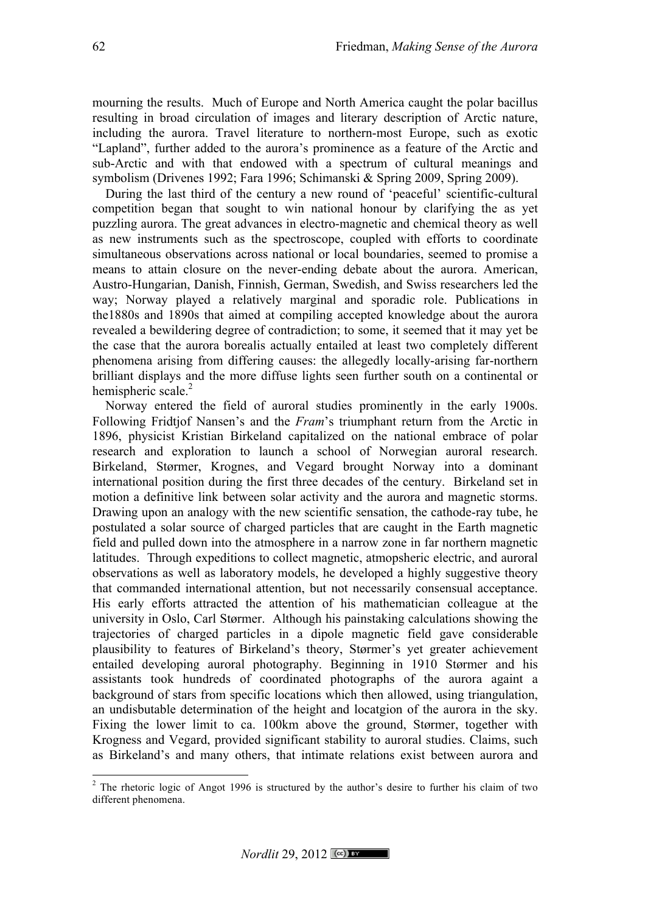mourning the results. Much of Europe and North America caught the polar bacillus resulting in broad circulation of images and literary description of Arctic nature, including the aurora. Travel literature to northern-most Europe, such as exotic "Lapland", further added to the aurora's prominence as a feature of the Arctic and sub-Arctic and with that endowed with a spectrum of cultural meanings and symbolism (Drivenes 1992; Fara 1996; Schimanski & Spring 2009, Spring 2009).

During the last third of the century a new round of 'peaceful' scientific-cultural competition began that sought to win national honour by clarifying the as yet puzzling aurora. The great advances in electro-magnetic and chemical theory as well as new instruments such as the spectroscope, coupled with efforts to coordinate simultaneous observations across national or local boundaries, seemed to promise a means to attain closure on the never-ending debate about the aurora. American, Austro-Hungarian, Danish, Finnish, German, Swedish, and Swiss researchers led the way; Norway played a relatively marginal and sporadic role. Publications in the1880s and 1890s that aimed at compiling accepted knowledge about the aurora revealed a bewildering degree of contradiction; to some, it seemed that it may yet be the case that the aurora borealis actually entailed at least two completely different phenomena arising from differing causes: the allegedly locally-arising far-northern brilliant displays and the more diffuse lights seen further south on a continental or hemispheric scale.<sup>2</sup>

Norway entered the field of auroral studies prominently in the early 1900s. Following Fridtjof Nansen's and the *Fram*'s triumphant return from the Arctic in 1896, physicist Kristian Birkeland capitalized on the national embrace of polar research and exploration to launch a school of Norwegian auroral research. Birkeland, Størmer, Krognes, and Vegard brought Norway into a dominant international position during the first three decades of the century. Birkeland set in motion a definitive link between solar activity and the aurora and magnetic storms. Drawing upon an analogy with the new scientific sensation, the cathode-ray tube, he postulated a solar source of charged particles that are caught in the Earth magnetic field and pulled down into the atmosphere in a narrow zone in far northern magnetic latitudes. Through expeditions to collect magnetic, atmopsheric electric, and auroral observations as well as laboratory models, he developed a highly suggestive theory that commanded international attention, but not necessarily consensual acceptance. His early efforts attracted the attention of his mathematician colleague at the university in Oslo, Carl Størmer. Although his painstaking calculations showing the trajectories of charged particles in a dipole magnetic field gave considerable plausibility to features of Birkeland's theory, Størmer's yet greater achievement entailed developing auroral photography. Beginning in 1910 Størmer and his assistants took hundreds of coordinated photographs of the aurora againt a background of stars from specific locations which then allowed, using triangulation, an undisbutable determination of the height and locatgion of the aurora in the sky. Fixing the lower limit to ca. 100km above the ground, Størmer, together with Krogness and Vegard, provided significant stability to auroral studies. Claims, such as Birkeland's and many others, that intimate relations exist between aurora and

!!!!!!!!!!!!!!!!!!!!!!!!!!!!!!!!!!!!!!!!!!!!!!!!!!!!!!!!!!!!

 $2$  The rhetoric logic of Angot 1996 is structured by the author's desire to further his claim of two different phenomena.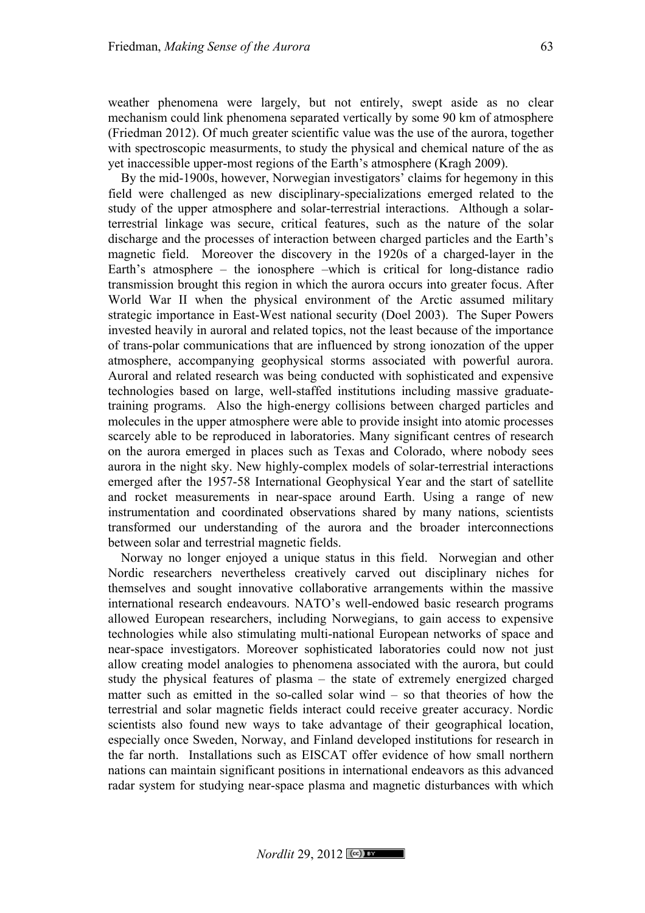weather phenomena were largely, but not entirely, swept aside as no clear mechanism could link phenomena separated vertically by some 90 km of atmosphere (Friedman 2012). Of much greater scientific value was the use of the aurora, together with spectroscopic measurments, to study the physical and chemical nature of the as yet inaccessible upper-most regions of the Earth's atmosphere (Kragh 2009).

By the mid-1900s, however, Norwegian investigators' claims for hegemony in this field were challenged as new disciplinary-specializations emerged related to the study of the upper atmosphere and solar-terrestrial interactions. Although a solarterrestrial linkage was secure, critical features, such as the nature of the solar discharge and the processes of interaction between charged particles and the Earth's magnetic field. Moreover the discovery in the 1920s of a charged-layer in the Earth's atmosphere – the ionosphere –which is critical for long-distance radio transmission brought this region in which the aurora occurs into greater focus. After World War II when the physical environment of the Arctic assumed military strategic importance in East-West national security (Doel 2003). The Super Powers invested heavily in auroral and related topics, not the least because of the importance of trans-polar communications that are influenced by strong ionozation of the upper atmosphere, accompanying geophysical storms associated with powerful aurora. Auroral and related research was being conducted with sophisticated and expensive technologies based on large, well-staffed institutions including massive graduatetraining programs. Also the high-energy collisions between charged particles and molecules in the upper atmosphere were able to provide insight into atomic processes scarcely able to be reproduced in laboratories. Many significant centres of research on the aurora emerged in places such as Texas and Colorado, where nobody sees aurora in the night sky. New highly-complex models of solar-terrestrial interactions emerged after the 1957-58 International Geophysical Year and the start of satellite and rocket measurements in near-space around Earth. Using a range of new instrumentation and coordinated observations shared by many nations, scientists transformed our understanding of the aurora and the broader interconnections between solar and terrestrial magnetic fields.

Norway no longer enjoyed a unique status in this field. Norwegian and other Nordic researchers nevertheless creatively carved out disciplinary niches for themselves and sought innovative collaborative arrangements within the massive international research endeavours. NATO's well-endowed basic research programs allowed European researchers, including Norwegians, to gain access to expensive technologies while also stimulating multi-national European networks of space and near-space investigators. Moreover sophisticated laboratories could now not just allow creating model analogies to phenomena associated with the aurora, but could study the physical features of plasma – the state of extremely energized charged matter such as emitted in the so-called solar wind – so that theories of how the terrestrial and solar magnetic fields interact could receive greater accuracy. Nordic scientists also found new ways to take advantage of their geographical location, especially once Sweden, Norway, and Finland developed institutions for research in the far north. Installations such as EISCAT offer evidence of how small northern nations can maintain significant positions in international endeavors as this advanced radar system for studying near-space plasma and magnetic disturbances with which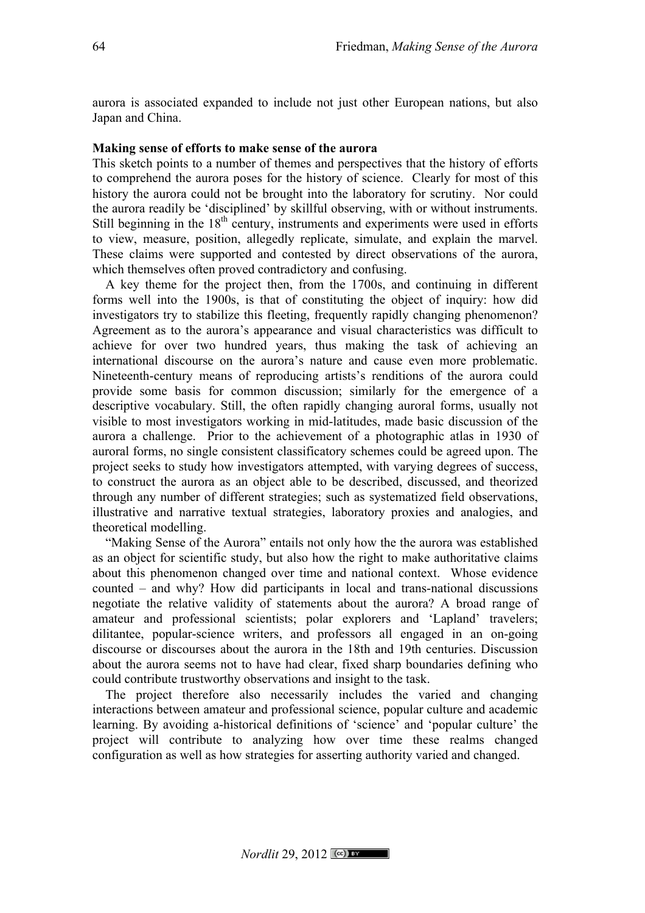aurora is associated expanded to include not just other European nations, but also Japan and China.

# **Making sense of efforts to make sense of the aurora**

This sketch points to a number of themes and perspectives that the history of efforts to comprehend the aurora poses for the history of science. Clearly for most of this history the aurora could not be brought into the laboratory for scrutiny. Nor could the aurora readily be 'disciplined' by skillful observing, with or without instruments. Still beginning in the  $18<sup>th</sup>$  century, instruments and experiments were used in efforts to view, measure, position, allegedly replicate, simulate, and explain the marvel. These claims were supported and contested by direct observations of the aurora, which themselves often proved contradictory and confusing.

A key theme for the project then, from the 1700s, and continuing in different forms well into the 1900s, is that of constituting the object of inquiry: how did investigators try to stabilize this fleeting, frequently rapidly changing phenomenon? Agreement as to the aurora's appearance and visual characteristics was difficult to achieve for over two hundred years, thus making the task of achieving an international discourse on the aurora's nature and cause even more problematic. Nineteenth-century means of reproducing artists's renditions of the aurora could provide some basis for common discussion; similarly for the emergence of a descriptive vocabulary. Still, the often rapidly changing auroral forms, usually not visible to most investigators working in mid-latitudes, made basic discussion of the aurora a challenge. Prior to the achievement of a photographic atlas in 1930 of auroral forms, no single consistent classificatory schemes could be agreed upon. The project seeks to study how investigators attempted, with varying degrees of success, to construct the aurora as an object able to be described, discussed, and theorized through any number of different strategies; such as systematized field observations, illustrative and narrative textual strategies, laboratory proxies and analogies, and theoretical modelling.

"Making Sense of the Aurora" entails not only how the the aurora was established as an object for scientific study, but also how the right to make authoritative claims about this phenomenon changed over time and national context. Whose evidence counted – and why? How did participants in local and trans-national discussions negotiate the relative validity of statements about the aurora? A broad range of amateur and professional scientists; polar explorers and 'Lapland' travelers; dilitantee, popular-science writers, and professors all engaged in an on-going discourse or discourses about the aurora in the 18th and 19th centuries. Discussion about the aurora seems not to have had clear, fixed sharp boundaries defining who could contribute trustworthy observations and insight to the task.

The project therefore also necessarily includes the varied and changing interactions between amateur and professional science, popular culture and academic learning. By avoiding a-historical definitions of 'science' and 'popular culture' the project will contribute to analyzing how over time these realms changed configuration as well as how strategies for asserting authority varied and changed.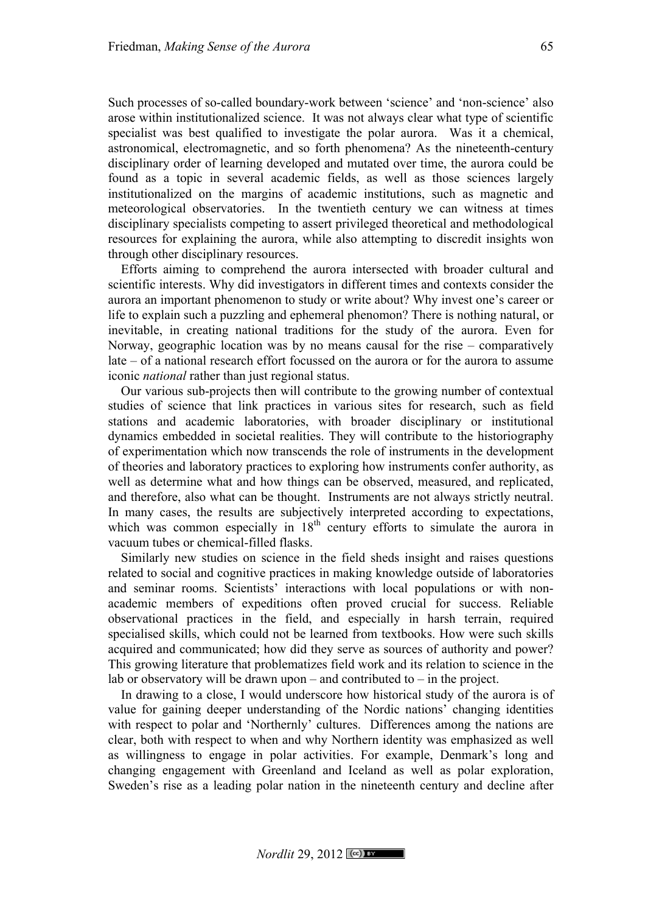Such processes of so-called boundary-work between 'science' and 'non-science' also arose within institutionalized science. It was not always clear what type of scientific specialist was best qualified to investigate the polar aurora. Was it a chemical, astronomical, electromagnetic, and so forth phenomena? As the nineteenth-century disciplinary order of learning developed and mutated over time, the aurora could be found as a topic in several academic fields, as well as those sciences largely institutionalized on the margins of academic institutions, such as magnetic and meteorological observatories. In the twentieth century we can witness at times disciplinary specialists competing to assert privileged theoretical and methodological resources for explaining the aurora, while also attempting to discredit insights won through other disciplinary resources.

Efforts aiming to comprehend the aurora intersected with broader cultural and scientific interests. Why did investigators in different times and contexts consider the aurora an important phenomenon to study or write about? Why invest one's career or life to explain such a puzzling and ephemeral phenomon? There is nothing natural, or inevitable, in creating national traditions for the study of the aurora. Even for Norway, geographic location was by no means causal for the rise – comparatively late – of a national research effort focussed on the aurora or for the aurora to assume iconic *national* rather than just regional status.

Our various sub-projects then will contribute to the growing number of contextual studies of science that link practices in various sites for research, such as field stations and academic laboratories, with broader disciplinary or institutional dynamics embedded in societal realities. They will contribute to the historiography of experimentation which now transcends the role of instruments in the development of theories and laboratory practices to exploring how instruments confer authority, as well as determine what and how things can be observed, measured, and replicated, and therefore, also what can be thought. Instruments are not always strictly neutral. In many cases, the results are subjectively interpreted according to expectations, which was common especially in  $18<sup>th</sup>$  century efforts to simulate the aurora in vacuum tubes or chemical-filled flasks.

Similarly new studies on science in the field sheds insight and raises questions related to social and cognitive practices in making knowledge outside of laboratories and seminar rooms. Scientists' interactions with local populations or with nonacademic members of expeditions often proved crucial for success. Reliable observational practices in the field, and especially in harsh terrain, required specialised skills, which could not be learned from textbooks. How were such skills acquired and communicated; how did they serve as sources of authority and power? This growing literature that problematizes field work and its relation to science in the lab or observatory will be drawn upon – and contributed to – in the project.

In drawing to a close, I would underscore how historical study of the aurora is of value for gaining deeper understanding of the Nordic nations' changing identities with respect to polar and 'Northernly' cultures. Differences among the nations are clear, both with respect to when and why Northern identity was emphasized as well as willingness to engage in polar activities. For example, Denmark's long and changing engagement with Greenland and Iceland as well as polar exploration, Sweden's rise as a leading polar nation in the nineteenth century and decline after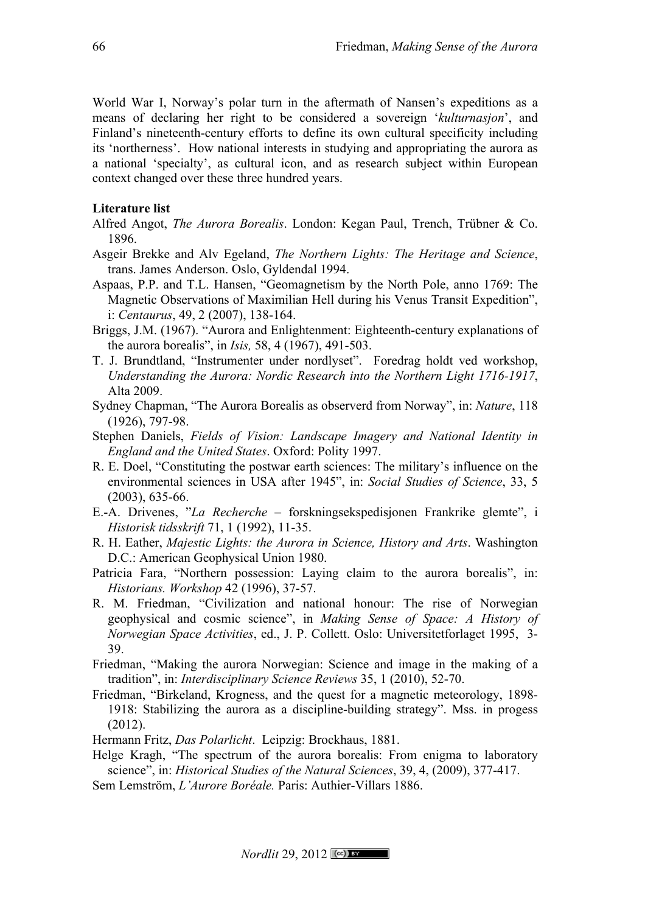World War I, Norway's polar turn in the aftermath of Nansen's expeditions as a means of declaring her right to be considered a sovereign '*kulturnasjon*', and Finland's nineteenth-century efforts to define its own cultural specificity including its 'northerness'. How national interests in studying and appropriating the aurora as a national 'specialty', as cultural icon, and as research subject within European context changed over these three hundred years.

# **Literature list**

- Alfred Angot, *The Aurora Borealis*. London: Kegan Paul, Trench, Trübner & Co. 1896.
- Asgeir Brekke and Alv Egeland, *The Northern Lights: The Heritage and Science*, trans. James Anderson. Oslo, Gyldendal 1994.
- Aspaas, P.P. and T.L. Hansen, "Geomagnetism by the North Pole, anno 1769: The Magnetic Observations of Maximilian Hell during his Venus Transit Expedition", i: *Centaurus*, 49, 2 (2007), 138-164.
- Briggs, J.M. (1967). "Aurora and Enlightenment: Eighteenth-century explanations of the aurora borealis", in *Isis,* 58, 4 (1967), 491-503.
- T. J. Brundtland, "Instrumenter under nordlyset". Foredrag holdt ved workshop, *Understanding the Aurora: Nordic Research into the Northern Light 1716-1917*, Alta 2009.
- Sydney Chapman, "The Aurora Borealis as observerd from Norway", in: *Nature*, 118 (1926), 797-98.
- Stephen Daniels, *Fields of Vision: Landscape Imagery and National Identity in England and the United States*. Oxford: Polity 1997.
- R. E. Doel, "Constituting the postwar earth sciences: The military's influence on the environmental sciences in USA after 1945", in: *Social Studies of Science*, 33, 5 (2003), 635-66.
- E.-A. Drivenes, "*La Recherche* forskningsekspedisjonen Frankrike glemte", i *Historisk tidsskrift* 71, 1 (1992), 11-35.
- R. H. Eather, *Majestic Lights: the Aurora in Science, History and Arts*. Washington D.C.: American Geophysical Union 1980.
- Patricia Fara, "Northern possession: Laying claim to the aurora borealis", in: *Historians. Workshop* 42 (1996), 37-57.
- R. M. Friedman, "Civilization and national honour: The rise of Norwegian geophysical and cosmic science", in *Making Sense of Space: A History of Norwegian Space Activities*, ed., J. P. Collett. Oslo: Universitetforlaget 1995, 3- 39.
- Friedman, "Making the aurora Norwegian: Science and image in the making of a tradition", in: *Interdisciplinary Science Reviews* 35, 1 (2010), 52-70.
- Friedman, "Birkeland, Krogness, and the quest for a magnetic meteorology, 1898- 1918: Stabilizing the aurora as a discipline-building strategy". Mss. in progess (2012).
- Hermann Fritz, *Das Polarlicht*. Leipzig: Brockhaus, 1881.
- Helge Kragh, "The spectrum of the aurora borealis: From enigma to laboratory science", in: *Historical Studies of the Natural Sciences*, 39, 4, (2009), 377-417.
- Sem Lemström, *L'Aurore Boréale.* Paris: Authier-Villars 1886.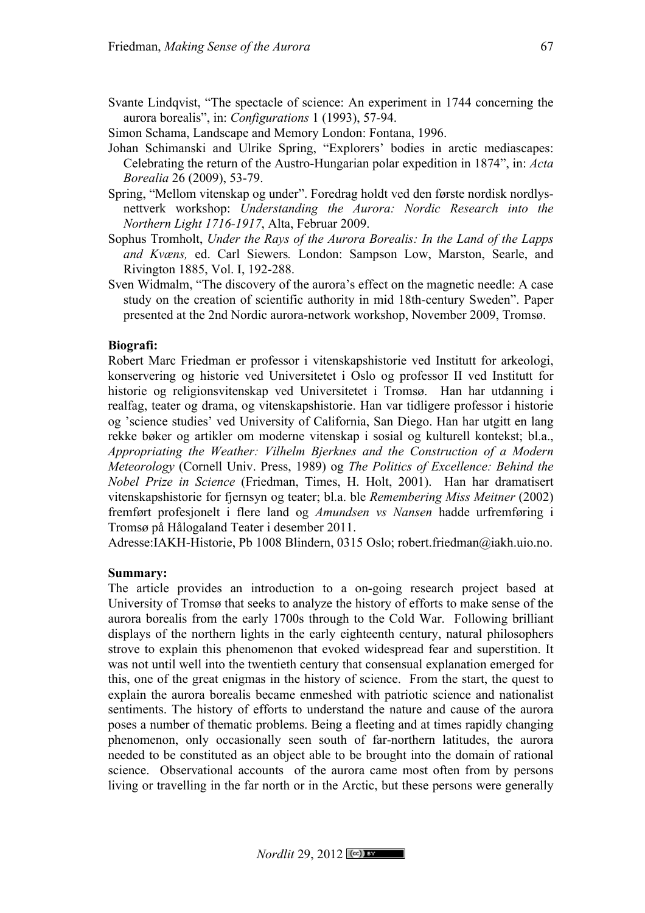Svante Lindqvist, "The spectacle of science: An experiment in 1744 concerning the aurora borealis", in: *Configurations* 1 (1993), 57-94.

Simon Schama, Landscape and Memory London: Fontana, 1996.

- Johan Schimanski and Ulrike Spring, "Explorers' bodies in arctic mediascapes: Celebrating the return of the Austro-Hungarian polar expedition in 1874", in: *Acta Borealia* 26 (2009), 53-79.
- Spring, "Mellom vitenskap og under". Foredrag holdt ved den første nordisk nordlysnettverk workshop: *Understanding the Aurora: Nordic Research into the Northern Light 1716-1917*, Alta, Februar 2009.
- Sophus Tromholt, *Under the Rays of the Aurora Borealis: In the Land of the Lapps and Kvæns,* ed. Carl Siewers*.* London: Sampson Low, Marston, Searle, and Rivington 1885, Vol. I, 192-288.
- Sven Widmalm, "The discovery of the aurora's effect on the magnetic needle: A case study on the creation of scientific authority in mid 18th-century Sweden". Paper presented at the 2nd Nordic aurora-network workshop, November 2009, Tromsø.

## **Biografi:**

Robert Marc Friedman er professor i vitenskapshistorie ved Institutt for arkeologi, konservering og historie ved Universitetet i Oslo og professor II ved Institutt for historie og religionsvitenskap ved Universitetet i Tromsø. Han har utdanning i realfag, teater og drama, og vitenskapshistorie. Han var tidligere professor i historie og 'science studies' ved University of California, San Diego. Han har utgitt en lang rekke bøker og artikler om moderne vitenskap i sosial og kulturell kontekst; bl.a., *Appropriating the Weather: Vilhelm Bjerknes and the Construction of a Modern Meteorology* (Cornell Univ. Press, 1989) og *The Politics of Excellence: Behind the Nobel Prize in Science* (Friedman, Times, H. Holt, 2001). Han har dramatisert vitenskapshistorie for fjernsyn og teater; bl.a. ble *Remembering Miss Meitner* (2002) fremført profesjonelt i flere land og *Amundsen vs Nansen* hadde urfremføring i Tromsø på Hålogaland Teater i desember 2011.

Adresse:IAKH-Historie, Pb 1008 Blindern, 0315 Oslo; robert.friedman@iakh.uio.no.

### **Summary:**

The article provides an introduction to a on-going research project based at University of Tromsø that seeks to analyze the history of efforts to make sense of the aurora borealis from the early 1700s through to the Cold War. Following brilliant displays of the northern lights in the early eighteenth century, natural philosophers strove to explain this phenomenon that evoked widespread fear and superstition. It was not until well into the twentieth century that consensual explanation emerged for this, one of the great enigmas in the history of science. From the start, the quest to explain the aurora borealis became enmeshed with patriotic science and nationalist sentiments. The history of efforts to understand the nature and cause of the aurora poses a number of thematic problems. Being a fleeting and at times rapidly changing phenomenon, only occasionally seen south of far-northern latitudes, the aurora needed to be constituted as an object able to be brought into the domain of rational science. Observational accounts of the aurora came most often from by persons living or travelling in the far north or in the Arctic, but these persons were generally